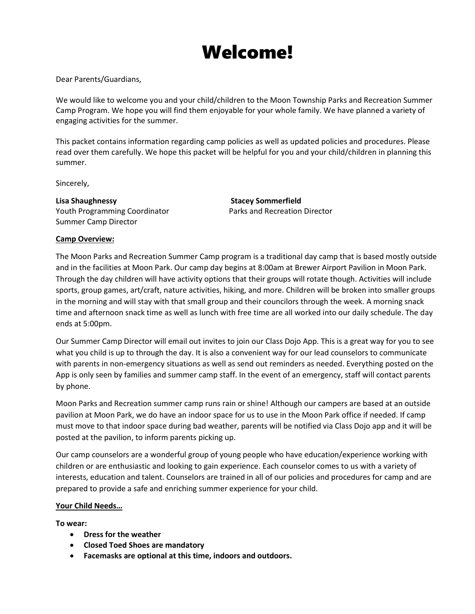# Welcome!

Dear Parents/Guardians,

We would like to welcome you and your child/children to the Moon Township Parks and Recreation Summer Camp Program. We hope you will find them enjoyable for your whole family. We have planned a variety of engaging activities for the summer.

This packet contains information regarding camp policies as well as updated policies and procedures. Please read over them carefully. We hope this packet will be helpful for you and your child/children in planning this summer.

Sincerely,

**Lisa Shaughnessy Stacey Sommerfield** Youth Programming Coordinator **Parks and Recreation Director** Summer Camp Director

# **Camp Overview:**

The Moon Parks and Recreation Summer Camp program is a traditional day camp that is based mostly outside and in the facilities at Moon Park. Our camp day begins at 8:00am at Brewer Airport Pavilion in Moon Park. Through the day children will have activity options that their groups will rotate though. Activities will include sports, group games, art/craft, nature activities, hiking, and more. Children will be broken into smaller groups in the morning and will stay with that small group and their councilors through the week. A morning snack time and afternoon snack time as well as lunch with free time are all worked into our daily schedule. The day ends at 5:00pm.

Our Summer Camp Director will email out invites to join our Class Dojo App. This is a great way for you to see what you child is up to through the day. It is also a convenient way for our lead counselors to communicate with parents in non-emergency situations as well as send out reminders as needed. Everything posted on the App is only seen by families and summer camp staff. In the event of an emergency, staff will contact parents by phone.

Moon Parks and Recreation summer camp runs rain or shine! Although our campers are based at an outside pavilion at Moon Park, we do have an indoor space for us to use in the Moon Park office if needed. If camp must move to that indoor space during bad weather, parents will be notified via Class Dojo app and it will be posted at the pavilion, to inform parents picking up.

Our camp counselors are a wonderful group of young people who have education/experience working with children or are enthusiastic and looking to gain experience. Each counselor comes to us with a variety of interests, education and talent. Counselors are trained in all of our policies and procedures for camp and are prepared to provide a safe and enriching summer experience for your child.

#### **Your Child Needs…**

**To wear:**

- **Dress for the weather**
- **Closed Toed Shoes are mandatory**
- **Facemasks are optional at this time, indoors and outdoors.**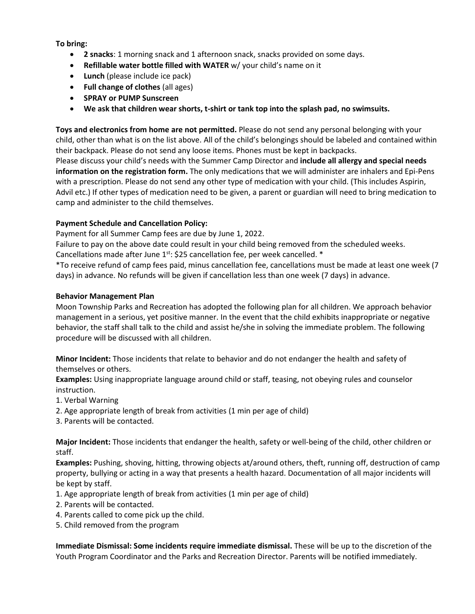**To bring:**

- **2 snacks**: 1 morning snack and 1 afternoon snack, snacks provided on some days.
- **Refillable water bottle filled with WATER** w/ your child's name on it
- **Lunch** (please include ice pack)
- **Full change of clothes** (all ages)
- **SPRAY or PUMP Sunscreen**
- **We ask that children wear shorts, t-shirt or tank top into the splash pad, no swimsuits.**

**Toys and electronics from home are not permitted.** Please do not send any personal belonging with your child, other than what is on the list above. All of the child's belongings should be labeled and contained within their backpack. Please do not send any loose items. Phones must be kept in backpacks. Please discuss your child's needs with the Summer Camp Director and **include all allergy and special needs information on the registration form.** The only medications that we will administer are inhalers and Epi-Pens with a prescription. Please do not send any other type of medication with your child. (This includes Aspirin, Advil etc.) If other types of medication need to be given, a parent or guardian will need to bring medication to camp and administer to the child themselves.

# **Payment Schedule and Cancellation Policy:**

Payment for all Summer Camp fees are due by June 1, 2022.

Failure to pay on the above date could result in your child being removed from the scheduled weeks. Cancellations made after June  $1^{st}$ : \$25 cancellation fee, per week cancelled.  $*$ 

\*To receive refund of camp fees paid, minus cancellation fee, cancellations must be made at least one week (7 days) in advance. No refunds will be given if cancellation less than one week (7 days) in advance.

# **Behavior Management Plan**

Moon Township Parks and Recreation has adopted the following plan for all children. We approach behavior management in a serious, yet positive manner. In the event that the child exhibits inappropriate or negative behavior, the staff shall talk to the child and assist he/she in solving the immediate problem. The following procedure will be discussed with all children.

**Minor Incident:** Those incidents that relate to behavior and do not endanger the health and safety of themselves or others.

**Examples:** Using inappropriate language around child or staff, teasing, not obeying rules and counselor instruction.

- 1. Verbal Warning
- 2. Age appropriate length of break from activities (1 min per age of child)
- 3. Parents will be contacted.

**Major Incident:** Those incidents that endanger the health, safety or well-being of the child, other children or staff.

**Examples:** Pushing, shoving, hitting, throwing objects at/around others, theft, running off, destruction of camp property, bullying or acting in a way that presents a health hazard. Documentation of all major incidents will be kept by staff.

- 1. Age appropriate length of break from activities (1 min per age of child)
- 2. Parents will be contacted.
- 4. Parents called to come pick up the child.
- 5. Child removed from the program

**Immediate Dismissal: Some incidents require immediate dismissal.** These will be up to the discretion of the Youth Program Coordinator and the Parks and Recreation Director. Parents will be notified immediately.